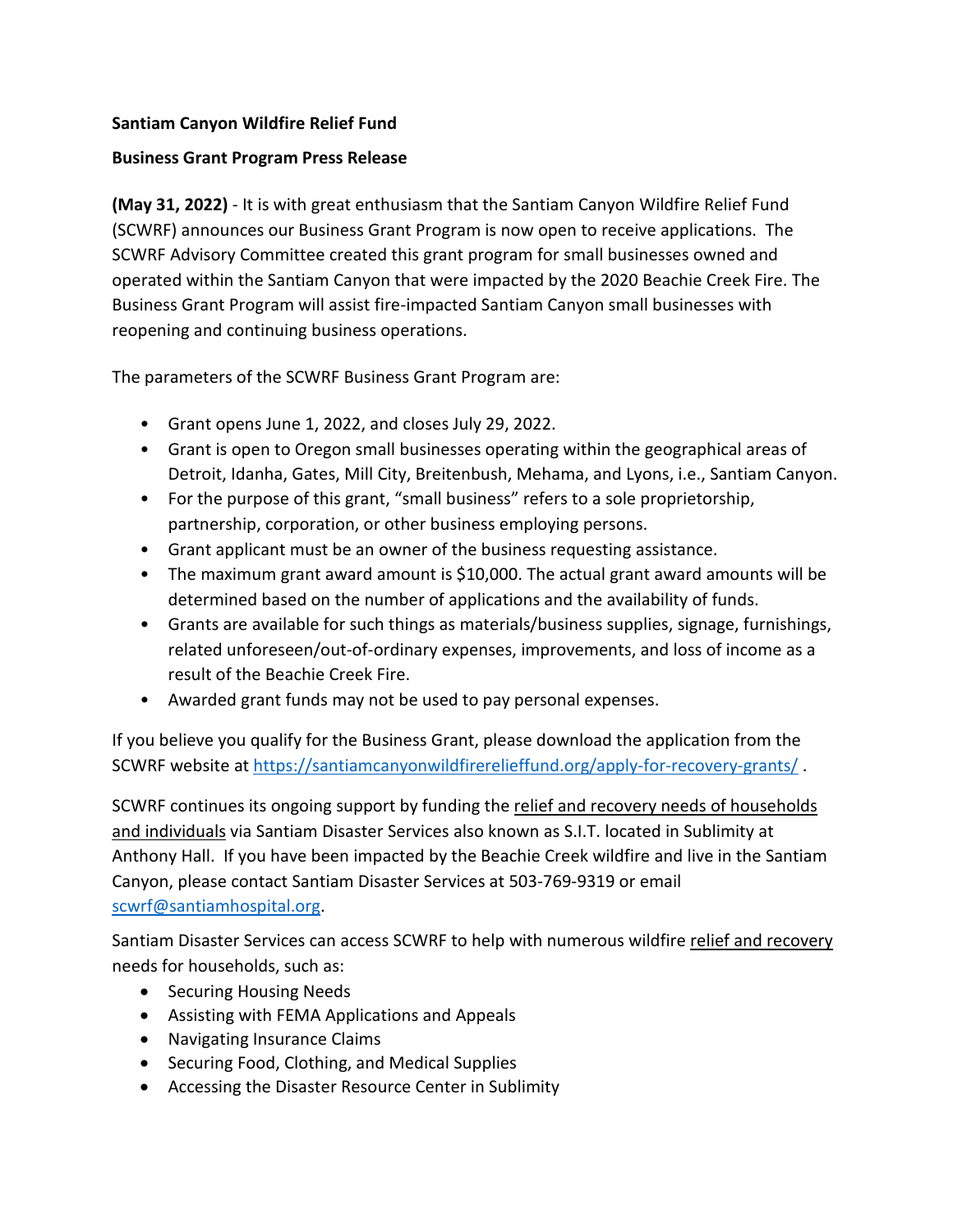# **Santiam Canyon Wildfire Relief Fund**

## **Business Grant Program Press Release**

**(May 31, 2022)** - It is with great enthusiasm that the Santiam Canyon Wildfire Relief Fund (SCWRF) announces our Business Grant Program is now open to receive applications. The SCWRF Advisory Committee created this grant program for small businesses owned and operated within the Santiam Canyon that were impacted by the 2020 Beachie Creek Fire. The Business Grant Program will assist fire-impacted Santiam Canyon small businesses with reopening and continuing business operations.

The parameters of the SCWRF Business Grant Program are:

- Grant opens June 1, 2022, and closes July 29, 2022.
- Grant is open to Oregon small businesses operating within the geographical areas of Detroit, Idanha, Gates, Mill City, Breitenbush, Mehama, and Lyons, i.e., Santiam Canyon.
- For the purpose of this grant, "small business" refers to a sole proprietorship, partnership, corporation, or other business employing persons.
- Grant applicant must be an owner of the business requesting assistance.
- The maximum grant award amount is \$10,000. The actual grant award amounts will be determined based on the number of applications and the availability of funds.
- Grants are available for such things as materials/business supplies, signage, furnishings, related unforeseen/out-of-ordinary expenses, improvements, and loss of income as a result of the Beachie Creek Fire.
- Awarded grant funds may not be used to pay personal expenses.

If you believe you qualify for the Business Grant, please download the application from the SCWRF website at<https://santiamcanyonwildfirerelieffund.org/apply-for-recovery-grants/> .

SCWRF continues its ongoing support by funding the relief and recovery needs of households and individuals via Santiam Disaster Services also known as S.I.T. located in Sublimity at Anthony Hall. If you have been impacted by the Beachie Creek wildfire and live in the Santiam Canyon, please contact Santiam Disaster Services at 503-769-9319 or email [scwrf@santiamhospital.org.](mailto:scwrf@santiamhospital.org)

Santiam Disaster Services can access SCWRF to help with numerous wildfire relief and recovery needs for households, such as:

- Securing Housing Needs
- Assisting with FEMA Applications and Appeals
- Navigating Insurance Claims
- Securing Food, Clothing, and Medical Supplies
- Accessing the Disaster Resource Center in Sublimity